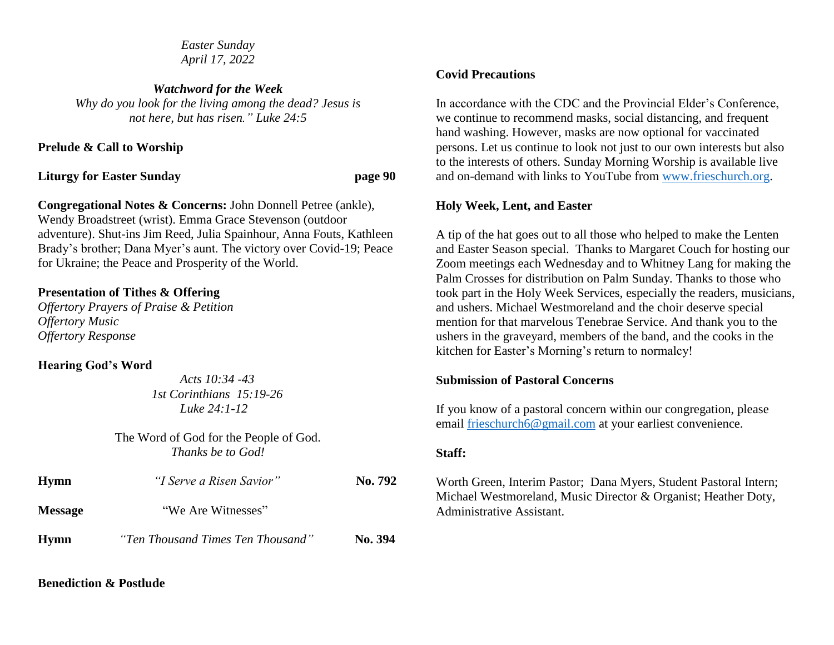*Easter Sunday April 17, 2022*

*Watchword for the Week Why do you look for the living among the dead? Jesus is not here, but has risen." Luke 24:5*

**Prelude & Call to Worship**

**Liturgy for Easter Sunday page 90**

**Congregational Notes & Concerns:** John Donnell Petree (ankle), Wendy Broadstreet (wrist). Emma Grace Stevenson (outdoor adventure). Shut-ins Jim Reed, Julia Spainhour, Anna Fouts, Kathleen Brady's brother; Dana Myer's aunt. The victory over Covid-19; Peace for Ukraine; the Peace and Prosperity of the World.

# **Presentation of Tithes & Offering**

*Offertory Prayers of Praise & Petition Offertory Music Offertory Response*

## **Hearing God's Word**

 *Acts 10:34 -43 1st Corinthians 15:19-26 Luke 24:1-12*

The Word of God for the People of God. *Thanks be to God!*

| <b>Hymn</b>    | "I Serve a Risen Savior"          | No. 792 |
|----------------|-----------------------------------|---------|
| <b>Message</b> | "We Are Witnesses"                |         |
| Hymn           | "Ten Thousand Times Ten Thousand" | No. 394 |

# **Covid Precautions**

In accordance with the CDC and the Provincial Elder's Conference, we continue to recommend masks, social distancing, and frequent hand washing. However, masks are now optional for vaccinated persons. Let us continue to look not just to our own interests but also to the interests of others. Sunday Morning Worship is available live and on-demand with links to YouTube from [www.frieschurch.org.](http://www.frieschurch.org/)

## **Holy Week, Lent, and Easter**

A tip of the hat goes out to all those who helped to make the Lenten and Easter Season special. Thanks to Margaret Couch for hosting our Zoom meetings each Wednesday and to Whitney Lang for making the Palm Crosses for distribution on Palm Sunday. Thanks to those who took part in the Holy Week Services, especially the readers, musicians, and ushers. Michael Westmoreland and the choir deserve special mention for that marvelous Tenebrae Service. And thank you to the ushers in the graveyard, members of the band, and the cooks in the kitchen for Easter's Morning's return to normalcy!

## **Submission of Pastoral Concerns**

If you know of a pastoral concern within our congregation, please email [frieschurch6@gmail.com](mailto:frieschurch6@gmail.com) at your earliest convenience.

## **Staff:**

Worth Green, Interim Pastor; Dana Myers, Student Pastoral Intern; Michael Westmoreland, Music Director & Organist; Heather Doty, Administrative Assistant.

## **Benediction & Postlude**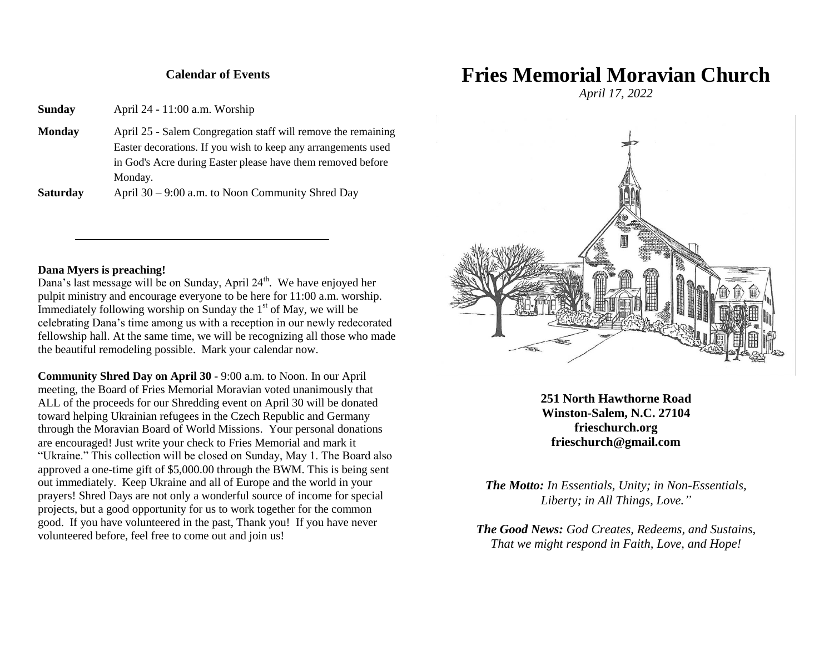#### **Calendar of Events**

**Sunday** April 24 - 11:00 a.m. Worship

**Monday** April 25 - Salem Congregation staff will remove the remaining Easter decorations. If you wish to keep any arrangements used in God's Acre during Easter please have them removed before Monday.

**Saturday** April 30 – 9:00 a.m. to Noon Community Shred Day

#### **Dana Myers is preaching!**

Dana's last message will be on Sunday, April  $24<sup>th</sup>$ . We have enjoyed her pulpit ministry and encourage everyone to be here for 11:00 a.m. worship. Immediately following worship on Sunday the 1<sup>st</sup> of May, we will be celebrating Dana's time among us with a reception in our newly redecorated fellowship hall. At the same time, we will be recognizing all those who made the beautiful remodeling possible. Mark your calendar now.

**Community Shred Day on April 30** - 9:00 a.m. to Noon. In our April meeting, the Board of Fries Memorial Moravian voted unanimously that ALL of the proceeds for our Shredding event on April 30 will be donated toward helping Ukrainian refugees in the Czech Republic and Germany through the Moravian Board of World Missions. Your personal donations are encouraged! Just write your check to Fries Memorial and mark it "Ukraine." This collection will be closed on Sunday, May 1. The Board also approved a one-time gift of \$5,000.00 through the BWM. This is being sent out immediately. Keep Ukraine and all of Europe and the world in your prayers! Shred Days are not only a wonderful source of income for special projects, but a good opportunity for us to work together for the common good. If you have volunteered in the past, Thank you! If you have never volunteered before, feel free to come out and join us!

# **Fries Memorial Moravian Church**

*April 17, 2022*



**251 North Hawthorne Road Winston-Salem, N.C. 27104 frieschurch.org frieschurch@gmail.com**

*The Motto: In Essentials, Unity; in Non-Essentials, Liberty; in All Things, Love."*

*The Good News: God Creates, Redeems, and Sustains, That we might respond in Faith, Love, and Hope!*